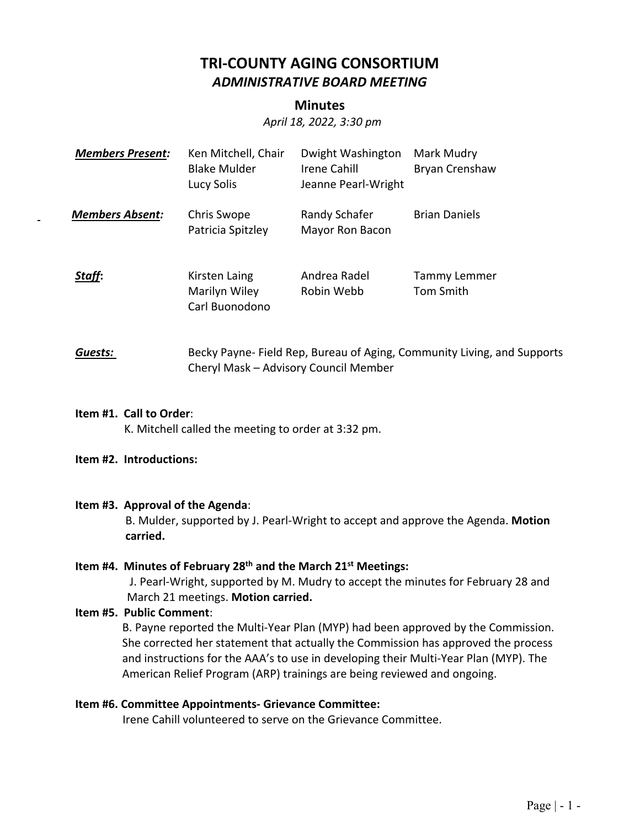# **TRI‐COUNTY AGING CONSORTIUM**  *ADMINISTRATIVE BOARD MEETING*

## **Minutes**

*April 18, 2022, 3:30 pm* 

| <b>Members Present:</b> | Ken Mitchell, Chair<br><b>Blake Mulder</b><br>Lucy Solis | Dwight Washington<br>Irene Cahill<br>Jeanne Pearl-Wright | Mark Mudry<br>Bryan Crenshaw |
|-------------------------|----------------------------------------------------------|----------------------------------------------------------|------------------------------|
| <b>Members Absent:</b>  | Chris Swope<br>Patricia Spitzley                         | Randy Schafer<br>Mayor Ron Bacon                         | <b>Brian Daniels</b>         |
| Staff:                  | Kirsten Laing<br>Marilyn Wiley<br>Carl Buonodono         | Andrea Radel<br>Robin Webb                               | Tammy Lemmer<br>Tom Smith    |

# **Guests: Becky Payne-Field Rep, Bureau of Aging, Community Living, and Supports** Cheryl Mask – Advisory Council Member

#### **Item #1. Call to Order**:

K. Mitchell called the meeting to order at 3:32 pm.

### **Item #2. Introductions:**

### **Item #3. Approval of the Agenda**:

B. Mulder, supported by J. Pearl‐Wright to accept and approve the Agenda. **Motion carried.** 

## **Item #4. Minutes of February 28th and the March 21st Meetings:**

 J. Pearl‐Wright, supported by M. Mudry to accept the minutes for February 28 and March 21 meetings. **Motion carried.**

### **Item #5. Public Comment**:

B. Payne reported the Multi‐Year Plan (MYP) had been approved by the Commission. She corrected her statement that actually the Commission has approved the process and instructions for the AAA's to use in developing their Multi‐Year Plan (MYP). The American Relief Program (ARP) trainings are being reviewed and ongoing.

### **Item #6. Committee Appointments‐ Grievance Committee:**

Irene Cahill volunteered to serve on the Grievance Committee.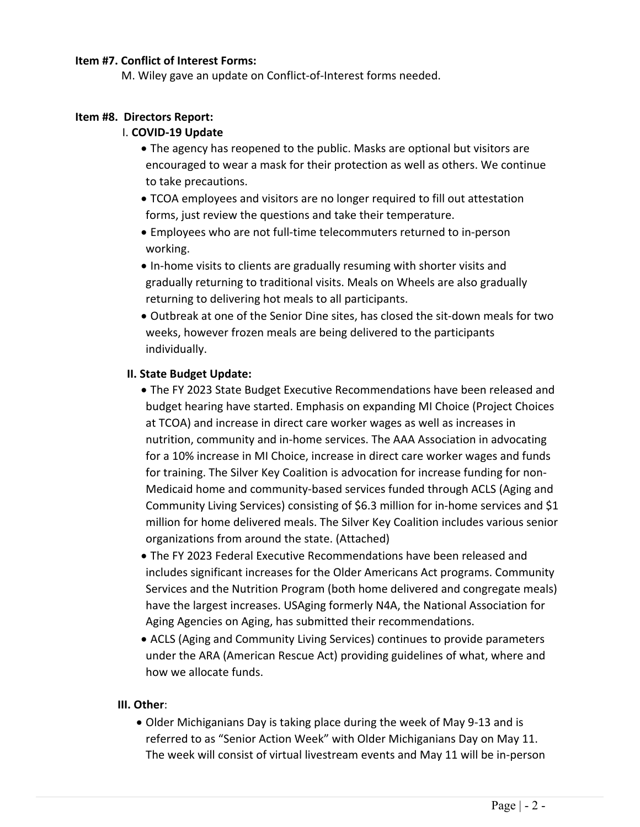## **Item #7. Conflict of Interest Forms:**

M. Wiley gave an update on Conflict‐of‐Interest forms needed.

## **Item #8. Directors Report:**

## I. **COVID‐19 Update**

- The agency has reopened to the public. Masks are optional but visitors are encouraged to wear a mask for their protection as well as others. We continue to take precautions.
- TCOA employees and visitors are no longer required to fill out attestation forms, just review the questions and take their temperature.
- Employees who are not full‐time telecommuters returned to in‐person working.
- In-home visits to clients are gradually resuming with shorter visits and gradually returning to traditional visits. Meals on Wheels are also gradually returning to delivering hot meals to all participants.
- Outbreak at one of the Senior Dine sites, has closed the sit‐down meals for two weeks, however frozen meals are being delivered to the participants individually.

## **II. State Budget Update:**

- The FY 2023 State Budget Executive Recommendations have been released and budget hearing have started. Emphasis on expanding MI Choice (Project Choices at TCOA) and increase in direct care worker wages as well as increases in nutrition, community and in‐home services. The AAA Association in advocating for a 10% increase in MI Choice, increase in direct care worker wages and funds for training. The Silver Key Coalition is advocation for increase funding for non‐ Medicaid home and community‐based services funded through ACLS (Aging and Community Living Services) consisting of \$6.3 million for in‐home services and \$1 million for home delivered meals. The Silver Key Coalition includes various senior organizations from around the state. (Attached)
- The FY 2023 Federal Executive Recommendations have been released and includes significant increases for the Older Americans Act programs. Community Services and the Nutrition Program (both home delivered and congregate meals) have the largest increases. USAging formerly N4A, the National Association for Aging Agencies on Aging, has submitted their recommendations.
- ACLS (Aging and Community Living Services) continues to provide parameters under the ARA (American Rescue Act) providing guidelines of what, where and how we allocate funds.

### **III. Other**:

● Older Michiganians Day is taking place during the week of May 9-13 and is referred to as "Senior Action Week" with Older Michiganians Day on May 11. The week will consist of virtual livestream events and May 11 will be in‐person